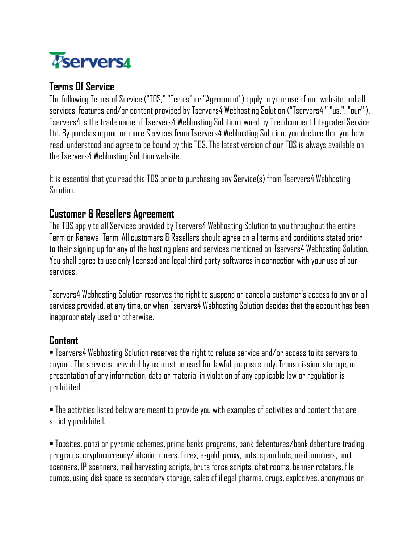

# **Terms Of Service**

The following Terms of Service ("TOS," "Terms" or "Agreement") apply to your use of our website and all services, features and/or content provided by Tservers4 Webhosting Solution ("Tservers4," "us,", "our" ). Tservers4 is the trade name of Tservers4 Webhosting Solution owned by Trendconnect Integrated Service Ltd. By purchasing one or more Services from Tservers4 Webhosting Solution, you declare that you have read, understood and agree to be bound by this TOS. The latest version of our TOS is always available on the Tservers4 Webhosting Solution website.

It is essential that you read this TOS prior to purchasing any Service(s) from Tservers4 Webhosting **Solution** 

## **Customer & Resellers Agreement**

The TOS apply to all Services provided by Tservers4 Webhosting Solution to you throughout the entire Term or Renewal Term. All customers & Resellers should agree on all terms and conditions stated prior to their signing up for any of the hosting plans and services mentioned on Tservers4 Webhosting Solution. You shall agree to use only licensed and legal third party softwares in connection with your use of our services.

Tservers4 Webhosting Solution reserves the right to suspend or cancel a customer's access to any or all services provided, at any time, or when Tservers4 Webhosting Solution decides that the account has been inappropriately used or otherwise.

## **Content**

• Tservers4 Webhosting Solution reserves the right to refuse service and/or access to its servers to anyone. The services provided by us must be used for lawful purposes only. Transmission, storage, or presentation of any information, data or material in violation of any applicable law or regulation is prohibited.

• The activities listed below are meant to provide you with examples of activities and content that are strictly prohibited.

• Topsites, ponzi or pyramid schemes, prime banks programs, bank debentures/bank debenture trading programs, cryptocurrency/bitcoin miners, forex, e-gold, proxy, bots, spam bots, mail bombers, port scanners, IP scanners, mail harvesting scripts, brute force scripts, chat rooms, banner rotators, file dumps,using disk space as secondary storage, sales of illegal pharma, drugs, explosives, anonymous or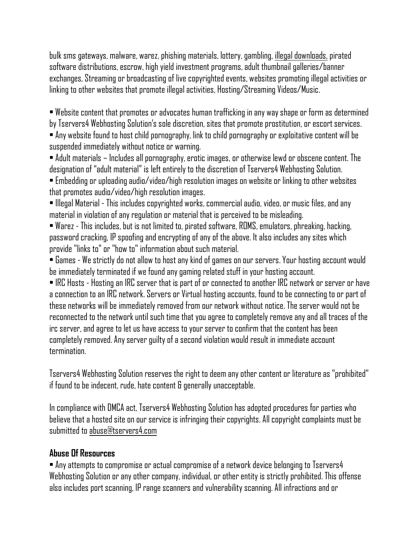bulk sms gateways, malware, warez, phishing materials, lottery, gambling, illegal downloads, pirated software distributions, escrow, high yield investment programs, adult thumbnail galleries/banner exchanges, Streaming or broadcasting of live copyrighted events, websites promoting illegal activities or linking to other websites that promote illegal activities, Hosting/Streaming Videos/Music.

• Website content that promotes or advocates human trafficking in any way shape or form as determined by Tservers4 Webhosting Solution's sole discretion, sites that promote prostitution, or escort services. • Any website found to host child pornography, link to child pornography or exploitative content will be suspended immediately without notice or warning.

• Adult materials – Includes all pornography, erotic images, or otherwise lewd or obscene content. The designation of "adult material" is left entirely to the discretion of Tservers4 Webhosting Solution. • Embedding or uploading audio/video/high resolution images on website or linking to other websites

that promotes audio/video/high resolution images.

• Illegal Material - This includes copyrighted works, commercial audio, video, or music files, and any material in violation of any regulation or material that is perceived to be misleading.

• Warez - This includes, but is not limited to, pirated software, ROMS, emulators, phreaking, hacking, password cracking, IP spoofing and encrypting of any of the above. It also includes any sites which provide "links to" or "how to" information about such material.

• Games - We strictly do not allow to host any kind of games on our servers. Your hosting account would be immediately terminated if we found any gaming related stuff in your hosting account.

• IRC Hosts - Hosting an IRC server that is part of or connected to another IRC network or server or have a connection to an IRC network. Servers or Virtual hosting accounts, found to be connecting to or part of these networks will be immediately removed from our network without notice. The server would not be reconnected to the network until such time that you agree to completely remove any and all traces of the irc server, and agree to let us have access to your server to confirm that the content has been completely removed. Any server guilty of a second violation would result in immediate account termination.

Tservers4 Webhosting Solution reserves the right to deem any other content or literature as "prohibited" if found to be indecent, rude, hate content & generally unacceptable.

In compliance with DMCA act, Tservers4 Webhosting Solution has adopted procedures for parties who believe that a hosted site on our service is infringing their copyrights. All copyright complaints must be submitted to abuse@tservers4.com

#### **Abuse Of Resources**

• Any attempts to compromise or actual compromise of a network device belonging to Tservers4 Webhosting Solution or any other company, individual, or other entity is strictly prohibited. This offense also includes port scanning, IP range scanners and vulnerability scanning. All infractions and or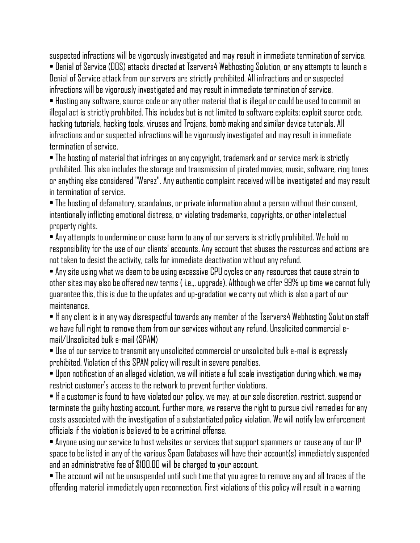suspected infractions will be vigorously investigated and may result in immediate termination of service. • Denial of Service (DOS) attacks directed at Tservers4 Webhosting Solution, or any attempts to launch a Denial of Service attack from our servers are strictly prohibited. All infractions and or suspected infractions will be vigorously investigated and may result in immediate termination of service. • Hosting any software, source code or any other material that is illegal or could be used to commit an

illegal act is strictly prohibited. This includes but is not limited to software exploits; exploit source code, hacking tutorials, hacking tools, viruses and Trojans, bomb making and similar device tutorials. All infractions and or suspected infractions will be vigorously investigated and may result in immediate termination of service.

• The hosting of material that infringes on any copyright, trademark and or service mark is strictly prohibited. This also includes the storage and transmission of pirated movies, music, software, ring tones or anything else considered "Warez". Any authentic complaint received will be investigated and may result in termination of service.

• The hosting of defamatory, scandalous, or private information about a person without their consent, intentionally inflicting emotional distress, or violating trademarks, copyrights, or other intellectual property rights.

• Any attempts to undermine or cause harm to any of our servers is strictly prohibited. We hold no responsibility for the use of our clients' accounts. Any account that abuses the resources and actions are not taken to desist the activity, calls for immediate deactivation without any refund.

• Any site using what we deem to be using excessive CPU cycles or any resources that cause strain to other sites may also be offered new terms ( i.e.,. upgrade). Although we offer 99% up time we cannot fully guarantee this, this is due to the updates and up-gradation we carry out which is also a part of our maintenance.

• If any client is in any way disrespectful towards any member of the Tservers4 Webhosting Solution staff we have full right to remove them from our services without any refund. Unsolicited commercial email/Unsolicited bulk e-mail (SPAM)

• Use of our service to transmit any unsolicited commercial or unsolicited bulk e-mail is expressly prohibited. Violation of this SPAM policy will result in severe penalties.

• Upon notification of an alleged violation, we will initiate a full scale investigation during which, we may restrict customer's access to the network to prevent further violations.

• If a customer is found to have violated our policy, we may, at our sole discretion, restrict, suspend or terminate the guilty hosting account. Further more, we reserve the right to pursue civil remedies for any costs associated with the investigation of a substantiated policy violation. We will notify law enforcement officials if the violation is believed to be a criminal offense.

• Anyone using our service to host websites or services that support spammers or cause any of our IP space to be listed in any of the various Spam Databases will have their account(s) immediately suspended and an administrative fee of \$100.00 will be charged to your account.

• The account will not be unsuspended until such time that you agree to remove any and all traces of the offending material immediately upon reconnection. First violations of this policy will result in a warning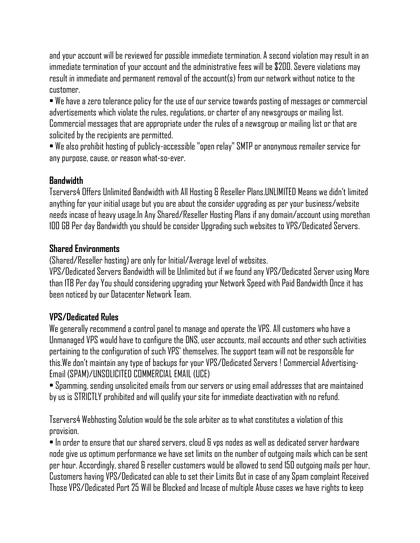and your account will be reviewed for possible immediate termination. A second violation may result in an immediate termination of your account and the administrative fees will be \$200. Severe violations may result in immediate and permanent removal of the account(s) from our network without notice to the customer.

• We have a zero tolerance policy for the use of our service towards posting of messages or commercial advertisements which violate the rules, regulations, or charter of any newsgroups or mailing list. Commercial messages that are appropriate under the rules of a newsgroup or mailing list or that are solicited by the recipients are permitted.

• We also prohibit hosting of publicly-accessible "open relay" SMTP or anonymous remailer service for anypurpose, cause, or reason what-so-ever.

## **Bandwidth**

Tservers4 Offers Unlimited Bandwidth with All Hosting & Reseller Plans.UNLIMITED Means we didn't limited anything for your initial usage but you are about the consider upgrading as per your business/website needs incase of heavy usage.In Any Shared/Reseller Hosting Plans if any domain/account using morethan 100 GB Per day Bandwidth you should be consider Upgrading such websites to VPS/Dedicated Servers.

## **Shared Environments**

(Shared/Reseller hosting) are only for Initial/Average level of websites.

VPS/Dedicated Servers Bandwidth will be Unlimited but if we found any VPS/Dedicated Server using More than 1TB Per day You should considering upgrading your Network Speed with Paid Bandwidth Once it has been noticed by our Datacenter Network Team.

## **VPS/Dedicated Rules**

We generally recommend a control panel to manage and operate the VPS. All customers who have a Unmanaged VPS would have to configure the DNS, user accounts, mail accounts and other such activities pertaining to the configuration of such VPS' themselves. The support team will not be responsible for this.We don't maintain any type of backups for your VPS/Dedicated Servers ! Commercial Advertising-Email (SPAM)/UNSOLICITED COMMERCIAL EMAIL (UCE)

• Spamming, sending unsolicited emails from our servers or using email addresses that are maintained by us is STRICTLY prohibited and will qualify your site for immediate deactivation with no refund.

Tservers4 Webhosting Solution would be the sole arbiter as to what constitutes a violation of this provision.

 $\bullet$  In order to ensure that our shared servers, cloud  $8$  vps nodes as well as dedicated server hardware node give us optimum performance we have set limits on the number of outgoing mails which can be sent per hour. Accordingly, shared & reseller customers would be allowed to send 150 outgoing mails per hour, Customers having VPS/Dedicated can able to set their Limits But in case of any Spam complaint Received Those VPS/Dedicated Port 25 Will be Blocked and Incase of multiple Abuse cases we have rights to keep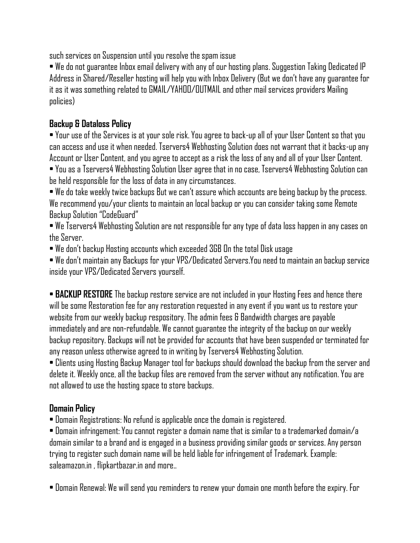such services on Suspension until you resolve the spam issue

• We do not guarantee Inbox email delivery with any of our hosting plans. Suggestion Taking Dedicated IP Address in Shared/Reseller hosting will help you with Inbox Delivery (But we don't have any guarantee for it as it was something related to GMAIL/YAHOO/OUTMAIL and other mail services providers Mailing policies)

## **Backup & Dataloss Policy**

• Your use of the Services is at your sole risk. You agree to back-up all of your User Content so that you canaccess and use it when needed. Tservers4 Webhosting Solution does not warrant that it backs-up any Account or User Content, and you agree to accept as a risk the loss of any and all of your User Content. • You as a Tservers4 Webhosting Solution User agree that in no case, Tservers4 Webhosting Solution can

be held responsible for the loss of data in any circumstances.

• We do take weekly twice backups But we can't assure which accounts are being backup by the process. We recommend you/your clients to maintain an local backup or you can consider taking some Remote Backup Solution "CodeGuard"

• We Tservers4 Webhosting Solution are not responsible for any type of data loss happen in any cases on the Server.

• We don't backup Hosting accounts which exceeded 3GB On the total Disk usage

• We don't maintain any Backups for your VPS/Dedicated Servers.You need to maintain an backup service inside your VPS/Dedicated Servers yourself.

• **BACKUP RESTORE** The backup restore service are not included in your Hosting Fees and hence there will be some Restoration fee for any restoration requested in any event if you want us to restore your website from our weekly backup respository. The admin fees & Bandwidth charges are payable immediately and are non-refundable. We cannot guarantee the integrity of the backup on our weekly backup repository. Backups will not be provided for accounts that have been suspended or terminated for any reason unless otherwise agreed to in writing by Tservers4 Webhosting Solution.

• Clients using Hosting Backup Manager tool for backups should download the backup from the server and delete it. Weekly once, all the backup files are removed from the server without any notification. You are not allowed to use the hosting space to store backups.

## **Domain Policy**

• Domain Registrations: No refund is applicable once the domain is registered.

• Domain infringement: You cannot register a domain name that is similar to a trademarked domain/a domain similar to a brand and is engaged in a business providing similar goods or services. Any person trying to register such domain name will be held liable for infringement of Trademark. Example: saleamazon.in , flipkartbazar.in and more..

• Domain Renewal: We will send you reminders to renew your domain one month before the expiry. For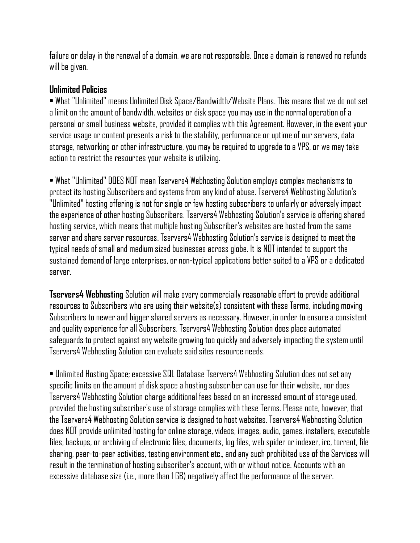failure or delay in the renewal of a domain, we are not responsible. Once a domain is renewed no refunds will be given.

#### **Unlimited Policies**

• What "Unlimited" means Unlimited Disk Space/Bandwidth/Website Plans. This means that we do not set a limit on the amount of bandwidth, websites or disk space you may use in the normal operation of a personal or small business website, provided it complies with this Agreement. However, in the event your service usage or content presents a risk to the stability, performance or uptime of our servers, data storage, networking or other infrastructure, you may be required to upgrade to a VPS, or we may take action to restrict the resources your website is utilizing.

• What "Unlimited" DOES NOT mean Tservers4 Webhosting Solution employs complex mechanisms to protect its hosting Subscribers and systems from any kind of abuse. Tservers4 Webhosting Solution's "Unlimited" hosting offering is not for single or few hosting subscribers to unfairly or adversely impact the experience of other hosting Subscribers. Tservers4 Webhosting Solution's service is offering shared hosting service, which means that multiple hosting Subscriber's websites are hosted from the same server and share server resources. Tservers4 Webhosting Solution's service is designed to meet the typical needs of small and medium sized businesses across globe. It is NOT intended to support the sustained demand of large enterprises, or non-typical applications better suited to a VPS or a dedicated server.

**Tservers4 Webhosting** Solution will make every commercially reasonable effort to provide additional resources to Subscribers who are using their website(s) consistent with these Terms, including moving Subscribers to newer and bigger shared servers as necessary. However, in order to ensure a consistent and quality experience for all Subscribers, Tservers4 Webhosting Solution does place automated safeguards to protect against any website growing too quickly and adversely impacting the system until Tservers4 Webhosting Solution can evaluate said sites resource needs.

• Unlimited Hosting Space; excessive SQL Database Tservers4 Webhosting Solution does not set any specific limits on the amount of disk space a hosting subscriber can use for their website, nor does Tservers4 Webhosting Solution charge additional fees based on an increased amount of storage used, provided the hosting subscriber's use of storage complies with these Terms. Please note, however, that the Tservers4 Webhosting Solution service is designed to host websites. Tservers4 Webhosting Solution does NOT provide unlimited hosting for online storage, videos, images, audio, games, installers, executable files, backups, or archiving of electronic files, documents, log files, web spider or indexer, irc, torrent, file sharing, peer-to-peer activities, testing environment etc., and any such prohibited use of the Services will result in the termination of hosting subscriber's account, with or without notice. Accounts with an excessive database size (i.e., more than 1 GB) negatively affect the performance of the server.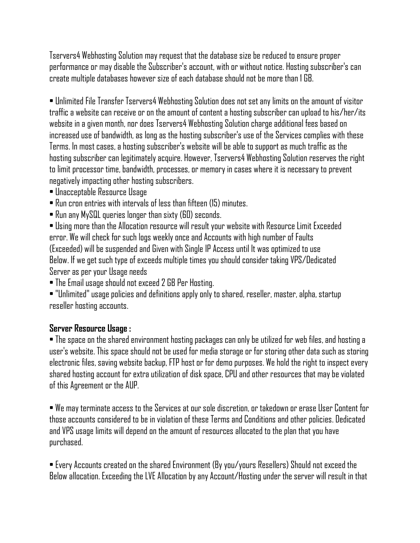Tservers4 Webhosting Solution may request that the database size be reduced to ensure proper performance or may disable the Subscriber's account, with or without notice. Hosting subscriber's can create multiple databases however size of each database should not be more than 1 GB.

• Unlimited File Transfer Tservers4 Webhosting Solution does not set any limits on the amount of visitor traffic a website can receive or on the amount of content a hosting subscriber can upload to his/her/its website in a given month, nor does Tservers4 Webhosting Solution charge additional fees based on increaseduse of bandwidth, as long as the hosting subscriber's use of the Services complies with these Terms. In most cases, a hosting subscriber's website will be able to support as much traffic as the hosting subscriber can legitimately acquire. However, Tservers4 Webhosting Solution reserves the right to limit processor time, bandwidth, processes, or memory in cases where it is necessary to prevent negatively impacting other hosting subscribers.

- Unacceptable Resource Usage
- Run cron entries with intervals of less than fifteen (15) minutes.
- Run any MySQL queries longer than sixty (60) seconds.

• Using more than the Allocation resource will result your website with Resource Limit Exceeded error. We will check for such logs weekly once and Accounts with high number of Faults (Exceeded) will be suspended and Given with Single IP Access until It was optimized to use Below. If we get such type of exceeds multiple times you should consider taking VPS/Dedicated Server as per your Usage needs

• The Email usage should not exceed 2 GB Per Hosting.

• "Unlimited" usage policies and definitions apply only to shared, reseller, master, alpha, startup reseller hosting accounts.

## **Server Resource Usage :**

• The space on the shared environment hosting packages can only be utilized for web files, and hosting a user's website. This space should not be used for media storage or for storing other data such as storing electronic files, saving website backup, FTP host or for demo purposes. We hold the right to inspect every shared hosting account for extra utilization of disk space, CPU and other resources that may be violated of this Agreement or the AUP.

• We may terminate access to the Services at our sole discretion, or takedown or erase User Content for those accounts considered to be in violation of these Terms and Conditions and other policies. Dedicated andVPS usage limits will depend on the amount of resources allocated to the plan that you have purchased.

• Every Accounts created on the shared Environment (By you/yours Resellers) Should not exceed the Below allocation. Exceeding the LVE Allocation by any Account/Hosting under the server will result in that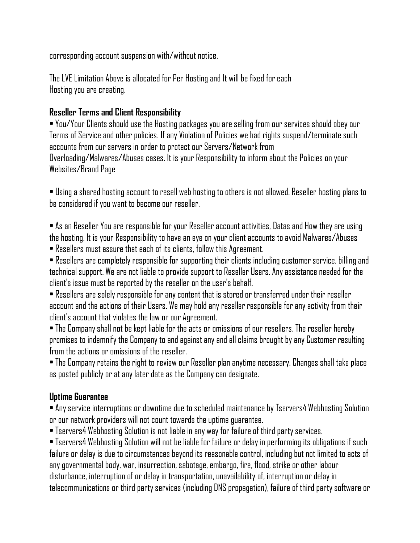corresponding account suspension with/without notice.

The LVE Limitation Above is allocated for Per Hosting and It will be fixed for each Hosting you are creating.

## **Reseller Terms and Client Responsibility**

• You/Your Clients should use the Hosting packages you are selling from our services should obey our Terms of Service and other policies. If any Violation of Policies we had rights suspend/terminate such accounts from our servers in order to protect our Servers/Network from Overloading/Malwares/Abuses cases. It is your Responsibility to inform about the Policies on your Websites/Brand Page

• Using a shared hosting account to resell web hosting to others is not allowed. Reseller hosting plans to be considered if you want to become our reseller.

• As an Reseller You are responsible for your Reseller account activities, Datas and How they are using the hosting. It is your Responsibility to have an eye on your client accounts to avoid Malwares/Abuses

• Resellers must assure that each of its clients, follow this Agreement.

• Resellers are completely responsible for supporting their clients including customer service, billing and technical support. We are not liable to provide support to Reseller Users. Any assistance needed for the client's issue must be reported by the reseller on the user's behalf.

• Resellers are solely responsible for any content that is stored or transferred under their reseller account and the actions of their Users. We may hold any reseller responsible for any activity from their client's account that violates the law or our Agreement.

• The Company shall not be kept liable for the acts or omissions of our resellers. The reseller hereby promises to indemnify the Company to and against any and all claims brought by any Customer resulting from the actions or omissions of the reseller.

• The Company retains the right to review our Reseller plan anytime necessary. Changes shall take place as posted publicly or at any later date as the Company can designate.

## **Uptime Guarantee**

• Any service interruptions or downtime due to scheduled maintenance by Tservers4 Webhosting Solution or our network providers will not count towards the uptime guarantee.

• Tservers4 Webhosting Solution is not liable in any way for failure of third party services.

• Tservers4 Webhosting Solution will not be liable for failure or delay in performing its obligations if such failure or delay is due to circumstances beyond its reasonable control, including but not limited to acts of any governmental body, war, insurrection, sabotage, embargo, fire, flood, strike or other labour disturbance, interruption of or delay in transportation, unavailability of, interruption or delay in telecommunications or third party services (including DNS propagation), failure of third party software or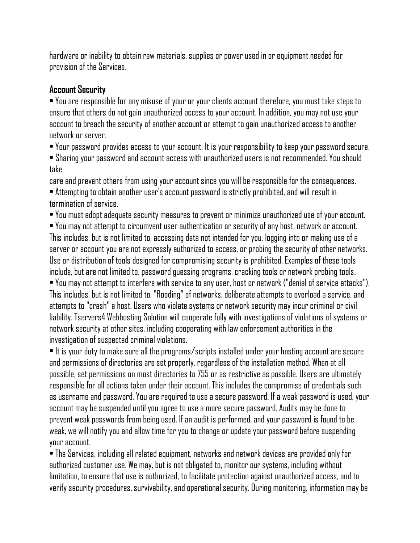hardware or inability to obtain raw materials, supplies or power used in or equipment needed for provision of the Services.

#### **Account Security**

• You are responsible for any misuse of your or your clients account therefore, you must take steps to ensure that others do not gain unauthorized access to your account. In addition, you may not use your account to breach the security of another account or attempt to gain unauthorized access to another network or server.

• Your password provides access to your account. It is your responsibility to keep your password secure.

• Sharing your password and account access with unauthorized users is not recommended. You should take

care and prevent others from using your account since you will be responsible for the consequences. • Attempting to obtain another user's account password is strictly prohibited, and will result in termination of service.

• You must adopt adequate security measures to prevent or minimize unauthorized use of your account. • You may not attempt to circumvent user authentication or security of any host, network or account. This includes, but is not limited to, accessing data not intended for you, logging into or making use of a server or account you are not expressly authorized to access, or probing the security of other networks. Use or distribution of tools designed for compromising security is prohibited. Examples of these tools include, but are not limited to, password guessing programs, cracking tools or network probing tools. • You may not attempt to interfere with service to any user, host or network ("denial of service attacks"). This includes, but is not limited to, "flooding" of networks, deliberate attempts to overload a service, and attempts to "crash" a host. Users who violate systems or network security may incur criminal or civil liability. Tservers4 Webhosting Solution will cooperate fully with investigations of violations of systems or network security at other sites, including cooperating with law enforcement authorities in the investigation of suspected criminal violations.

• It is your duty to make sure all the programs/scripts installed under your hosting account are secure and permissions of directories are set properly, regardless of the installation method. When at all possible, set permissions on most directories to 755 or as restrictive as possible. Users are ultimately responsible for all actions taken under their account. This includes the compromise of credentials such as username and password. You are required to use a secure password. If a weak password is used, your account may be suspended until you agree to use a more secure password. Audits may be done to prevent weak passwords from being used. If an audit is performed, and your password is found to be weak, we will notify you and allow time for you to change or update your password before suspending your account.

• The Services, including all related equipment, networks and network devices are provided only for authorized customer use. We may, but is not obligated to, monitor our systems, including without limitation, to ensure that use is authorized, to facilitate protection against unauthorized access, and to verifysecurity procedures, survivability, and operational security. During monitoring, information may be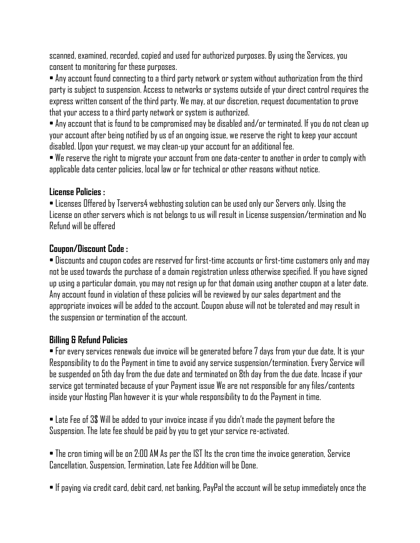scanned, examined, recorded, copied and used for authorized purposes. By using the Services, you consent to monitoring for these purposes.

• Any account found connecting to a third party network or system without authorization from the third party is subject to suspension. Access to networks or systems outside of your direct control requires the express written consent of the third party. We may, at our discretion, request documentation to prove that your access to a third party network or system is authorized.

• Any account that is found to be compromised may be disabled and/or terminated. If you do not clean up your account after being notified by us of an ongoing issue, we reserve the right to keep your account disabled. Upon your request, we may clean-up your account for an additional fee.

• We reserve the right to migrate your account from one data-center to another in order to comply with applicable data center policies, local law or for technical or other reasons without notice.

#### **License Policies :**

• Licenses Offered by Tservers4 webhosting solution can be used only our Servers only. Using the License on other servers which is not belongs to us will result in License suspension/termination and No Refund will be offered

#### **Coupon/Discount Code :**

• Discounts and coupon codes are reserved for first-time accounts or first-time customers only and may not be used towards the purchase of a domain registration unless otherwise specified. If you have signed up using a particular domain, you may not resign up for that domain using another coupon at a later date. Anyaccount found in violation of these policies will be reviewed by our sales department and the appropriate invoices will be added to the account. Coupon abuse will not be tolerated and may result in the suspension or termination of the account.

#### **Billing & Refund Policies**

• For every services renewals due invoice will be generated before 7 days from your due date, It is your Responsibility to do the Payment in time to avoid any service suspension/termination. Every Service will be suspended on 5th day from the due date and terminated on 8th day from the due date. Incase if your service got terminated because of your Payment issue We are not responsible for any files/contents inside your Hosting Plan however it is your whole responsibility to do the Payment in time.

• Late Fee of 3\$ Will be added to your invoice incase if you didn't made the payment before the Suspension. The late fee should be paid by you to get your service re-activated.

• The cron timing will be on 2:00 AM As per the IST Its the cron time the invoice generation, Service Cancellation, Suspension, Termination, Late Fee Addition will be Done.

• If paying via credit card, debit card, net banking, PayPal the account will be setup immediately once the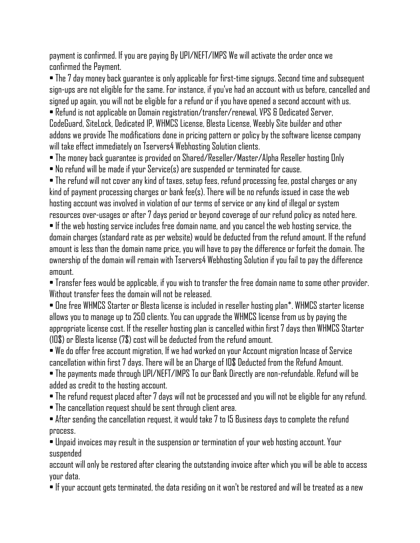payment is confirmed. If you are paying By UPI/NEFT/IMPS We will activate the order once we confirmed the Payment.

• The 7 day money back guarantee is only applicable for first-time signups. Second time and subsequent sign-ups are not eligible for the same. For instance, if you've had an account with us before, cancelled and signed up again, you will not be eligible for a refund or if you have opened a second account with us. • Refund is not applicable on Domain registration/transfer/renewal, VPS & Dedicated Server, CodeGuard, SiteLock, Dedicated IP, WHMCS License, Blesta License, Weebly Site builder and other addons we provide The modifications done in pricing pattern or policy by the software license company will take effect immediately on Tservers4 Webhosting Solution clients.

• The money back guarantee is provided on Shared/Reseller/Master/Alpha Reseller hosting Only

• No refund will be made if your Service(s) are suspended or terminated for cause.

• The refund will not cover any kind of taxes, setup fees, refund processing fee, postal charges or any kind of payment processing charges or bank fee(s). There will be no refunds issued in case the web hosting account was involved in violation of our terms of service or any kind of illegal or system resources over-usages or after 7 days period or beyond coverage of our refund policy as noted here. • If the web hosting service includes free domain name, and you cancel the web hosting service, the domain charges (standard rate as per website) would be deducted from the refund amount. If the refund amount is less than the domain name price, you will have to pay the difference or forfeit the domain. The ownership of the domain will remain with Tservers4 Webhosting Solution if you fail to pay the difference amount.

• Transfer fees would be applicable, if you wish to transfer the free domain name to some other provider. Without transfer fees the domain will not be released.

• One free WHMCS Starter or Blesta license is included in reseller hosting plan\*. WHMCS starter license allows you to manage up to 250 clients. You can upgrade the WHMCS license from us by paying the appropriate license cost. If the reseller hosting plan is cancelled within first 7 days then WHMCS Starter (10\$) or Blesta license (7\$) cost will be deducted from the refund amount.

• We do offer free account migration, If we had worked on your Account migration Incase of Service cancellation within first 7 days. There will be an Charge of 10\$ Deducted from the Refund Amount.

• The payments made through UPI/NEFT/IMPS To our Bank Directly are non-refundable. Refund will be added as credit to the hosting account.

- The refund request placed after 7 days will not be processed and you will not be eligible for any refund.
- The cancellation request should be sent through client area.

• After sending the cancellation request, it would take 7 to 15 Business days to complete the refund process.

• Unpaid invoices may result in the suspension or termination of your web hosting account. Your suspended

account will only be restored after clearing the outstanding invoice after which you will be able to access your data.

• If your account gets terminated, the data residing on it won't be restored and will be treated as a new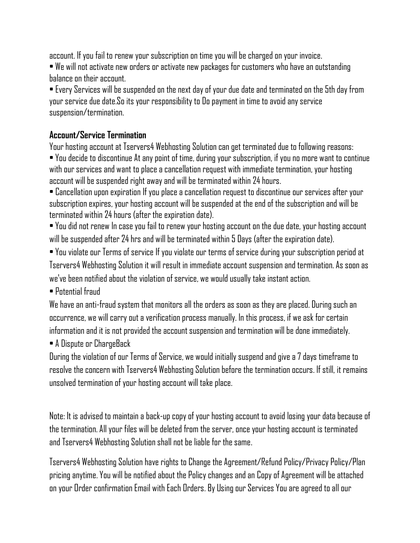account. If you fail to renew your subscription on time you will be charged on your invoice.

• We will not activate new orders or activate new packages for customers who have an outstanding balance on their account.

• Every Services will be suspended on the next day of your due date and terminated on the 5th day from your service due date.So its your responsibility to Do payment in time to avoid any service suspension/termination.

## **Account/Service Termination**

Your hosting account at Tservers4 Webhosting Solution can get terminated due to following reasons: • You decide to discontinue At any point of time, during your subscription, if you no more want to continue with our services and want to place a cancellation request with immediate termination, your hosting account will be suspended right away and will be terminated within 24 hours.

• Cancellation upon expiration If you place a cancellation request to discontinue our services after your subscription expires, your hosting account will be suspended at the end of the subscription and will be terminated within 24 hours (after the expiration date).

• You did not renew In case you fail to renew your hosting account on the due date, your hosting account will be suspended after 24 hrs and will be terminated within 5 Days (after the expiration date).

• You violate our Terms of service If you violate our terms of service during your subscription period at Tservers4 Webhosting Solution it will result in immediate account suspension and termination. As soon as we've been notified about the violation of service, we would usually take instant action.

• Potential fraud

We have an anti-fraud system that monitors all the orders as soon as they are placed. During such an occurrence, we will carry out a verification process manually. In this process, if we ask for certain information and it is not provided the account suspension and termination will be done immediately.

• A Dispute or ChargeBack

During the violation of our Terms of Service, we would initially suspend and give a 7 days timeframe to resolve the concern with Tservers4 Webhosting Solution before the termination occurs. If still, it remains unsolved termination of your hosting account will take place.

Note: It is advised to maintain a back-up copy of your hosting account to avoid losing your data because of the termination. All your files will be deleted from the server, once your hosting account is terminated and Tservers4 Webhosting Solution shall not be liable for the same.

Tservers4 Webhosting Solution have rights to Change the Agreement/Refund Policy/Privacy Policy/Plan pricing anytime. You will be notified about the Policy changes and an Copy of Agreement will be attached on your Order confirmation Email with Each Orders. By Using our Services You are agreed to all our